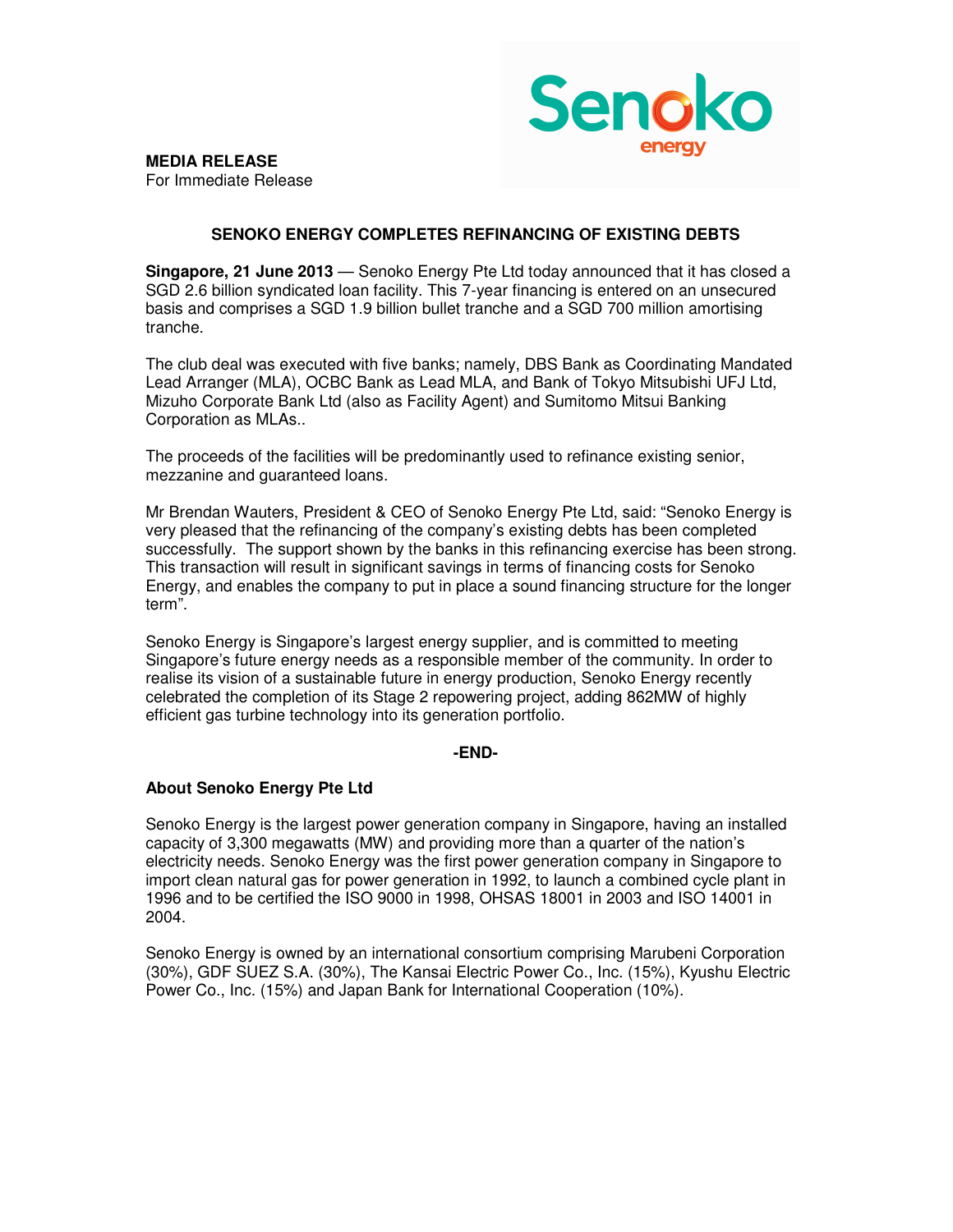

**MEDIA RELEASE** For Immediate Release

## **SENOKO ENERGY COMPLETES REFINANCING OF EXISTING DEBTS**

**Singapore, 21 June 2013** — Senoko Energy Pte Ltd today announced that it has closed a SGD 2.6 billion syndicated loan facility. This 7-year financing is entered on an unsecured basis and comprises a SGD 1.9 billion bullet tranche and a SGD 700 million amortising tranche.

The club deal was executed with five banks; namely, DBS Bank as Coordinating Mandated Lead Arranger (MLA), OCBC Bank as Lead MLA, and Bank of Tokyo Mitsubishi UFJ Ltd, Mizuho Corporate Bank Ltd (also as Facility Agent) and Sumitomo Mitsui Banking Corporation as MLAs..

The proceeds of the facilities will be predominantly used to refinance existing senior, mezzanine and guaranteed loans.

Mr Brendan Wauters, President & CEO of Senoko Energy Pte Ltd, said: "Senoko Energy is very pleased that the refinancing of the company's existing debts has been completed successfully. The support shown by the banks in this refinancing exercise has been strong. This transaction will result in significant savings in terms of financing costs for Senoko Energy, and enables the company to put in place a sound financing structure for the longer term".

Senoko Energy is Singapore's largest energy supplier, and is committed to meeting Singapore's future energy needs as a responsible member of the community. In order to realise its vision of a sustainable future in energy production, Senoko Energy recently celebrated the completion of its Stage 2 repowering project, adding 862MW of highly efficient gas turbine technology into its generation portfolio.

## **-END-**

## **About Senoko Energy Pte Ltd**

Senoko Energy is the largest power generation company in Singapore, having an installed capacity of 3,300 megawatts (MW) and providing more than a quarter of the nation's electricity needs. Senoko Energy was the first power generation company in Singapore to import clean natural gas for power generation in 1992, to launch a combined cycle plant in 1996 and to be certified the ISO 9000 in 1998, OHSAS 18001 in 2003 and ISO 14001 in 2004.

Senoko Energy is owned by an international consortium comprising Marubeni Corporation (30%), GDF SUEZ S.A. (30%), The Kansai Electric Power Co., Inc. (15%), Kyushu Electric Power Co., Inc. (15%) and Japan Bank for International Cooperation (10%).